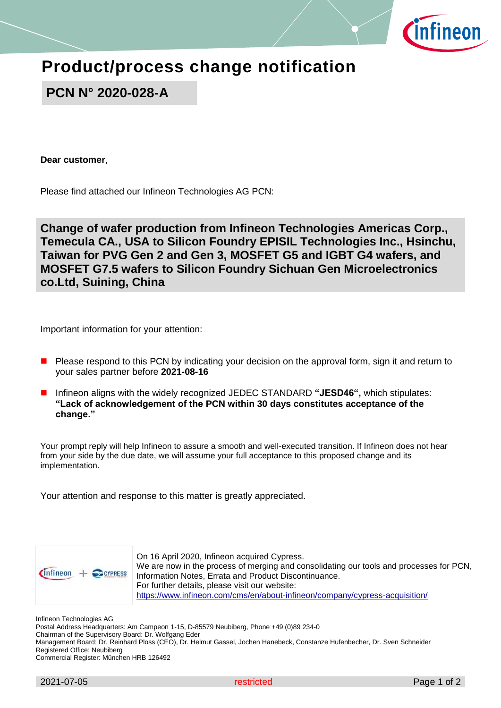

# **Product/process change notification**

**PCN N° 2020-028-A**

**Dear customer**,

Please find attached our Infineon Technologies AG PCN:

**Change of wafer production from Infineon Technologies Americas Corp., Temecula CA., USA to Silicon Foundry EPISIL Technologies Inc., Hsinchu, Taiwan for PVG Gen 2 and Gen 3, MOSFET G5 and IGBT G4 wafers, and MOSFET G7.5 wafers to Silicon Foundry Sichuan Gen Microelectronics co.Ltd, Suining, China**

Important information for your attention:

- Please respond to this PCN by indicating your decision on the approval form, sign it and return to your sales partner before **2021-08-16**
- Infineon aligns with the widely recognized JEDEC STANDARD **"JESD46",** which stipulates: **"Lack of acknowledgement of the PCN within 30 days constitutes acceptance of the change."**

Your prompt reply will help Infineon to assure a smooth and well-executed transition. If Infineon does not hear from your side by the due date, we will assume your full acceptance to this proposed change and its implementation.

Your attention and response to this matter is greatly appreciated.



On 16 April 2020, Infineon acquired Cypress. We are now in the process of merging and consolidating our tools and processes for PCN, Information Notes, Errata and Product Discontinuance. For further details, please visit our website: <https://www.infineon.com/cms/en/about-infineon/company/cypress-acquisition/>

Infineon Technologies AG

Postal Address Headquarters: Am Campeon 1-15, D-85579 Neubiberg, Phone +49 (0)89 234-0

Chairman of the Supervisory Board: Dr. Wolfgang Eder

Management Board: Dr. Reinhard Ploss (CEO), Dr. Helmut Gassel, Jochen Hanebeck, Constanze Hufenbecher, Dr. Sven Schneider Registered Office: Neubiberg

Commercial Register: München HRB 126492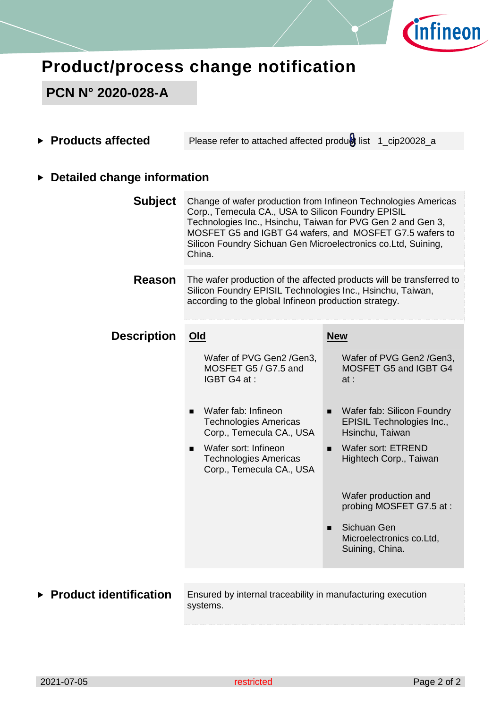

# **Product/process change notification**

### **PCN N° 2020-028-A**

**Products affected** Please refer to attached affected produtist 1\_cip20028\_a

#### **Detailed change information**

| <b>Subject</b>     | Change of wafer production from Infineon Technologies Americas<br>Corp., Temecula CA., USA to Silicon Foundry EPISIL<br>Technologies Inc., Hsinchu, Taiwan for PVG Gen 2 and Gen 3,<br>MOSFET G5 and IGBT G4 wafers, and MOSFET G7.5 wafers to<br>Silicon Foundry Sichuan Gen Microelectronics co.Ltd, Suining,<br>China. |                                                                                              |  |
|--------------------|---------------------------------------------------------------------------------------------------------------------------------------------------------------------------------------------------------------------------------------------------------------------------------------------------------------------------|----------------------------------------------------------------------------------------------|--|
| <b>Reason</b>      | The wafer production of the affected products will be transferred to<br>Silicon Foundry EPISIL Technologies Inc., Hsinchu, Taiwan,<br>according to the global Infineon production strategy.                                                                                                                               |                                                                                              |  |
| <b>Description</b> | Old                                                                                                                                                                                                                                                                                                                       | <b>New</b>                                                                                   |  |
|                    | Wafer of PVG Gen2 /Gen3,<br>MOSFET G5 / G7.5 and<br>IGBT G4 at:                                                                                                                                                                                                                                                           | Wafer of PVG Gen2 /Gen3,<br>MOSFET G5 and IGBT G4<br>at:                                     |  |
|                    | Wafer fab: Infineon<br>$\blacksquare$<br><b>Technologies Americas</b><br>Corp., Temecula CA., USA                                                                                                                                                                                                                         | Wafer fab: Silicon Foundry<br>$\blacksquare$<br>EPISIL Technologies Inc.,<br>Hsinchu, Taiwan |  |
|                    | Wafer sort: Infineon<br>$\blacksquare$<br><b>Technologies Americas</b><br>Corp., Temecula CA., USA                                                                                                                                                                                                                        | Wafer sort: ETREND<br>$\blacksquare$<br>Hightech Corp., Taiwan                               |  |
|                    |                                                                                                                                                                                                                                                                                                                           | Wafer production and<br>probing MOSFET G7.5 at:                                              |  |
|                    |                                                                                                                                                                                                                                                                                                                           | Sichuan Gen<br>п<br>Microelectronics co.Ltd,<br>Suining, China.                              |  |
|                    |                                                                                                                                                                                                                                                                                                                           |                                                                                              |  |

**Product identification** Ensured by internal traceability in manufacturing execution systems.